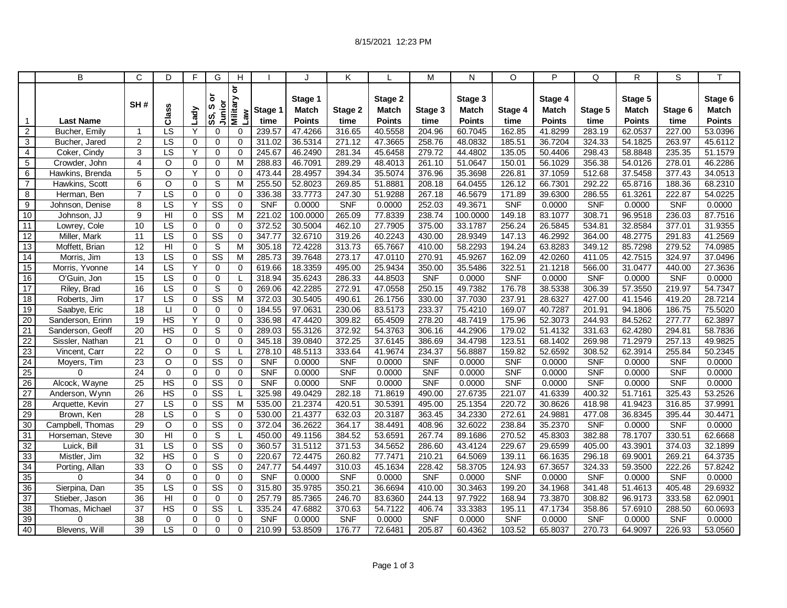|                 | B                | C               | D                      | F           | G                        | H                                                        |            |                         | K          |                         | M          | N                       | $\circ$    | P                       | Q          | R                       | S          | T                       |
|-----------------|------------------|-----------------|------------------------|-------------|--------------------------|----------------------------------------------------------|------------|-------------------------|------------|-------------------------|------------|-------------------------|------------|-------------------------|------------|-------------------------|------------|-------------------------|
|                 |                  | SH#             | Class                  | <b>Lady</b> | ៦<br>Junior<br>ဖာ<br>SS, | $\overline{\sigma}$<br><b>Military</b><br>$\mathsf{Lan}$ | Stage 1    | Stage 1<br><b>Match</b> | Stage 2    | Stage 2<br><b>Match</b> | Stage 3    | Stage 3<br><b>Match</b> | Stage 4    | Stage 4<br><b>Match</b> | Stage 5    | Stage 5<br><b>Match</b> | Stage 6    | Stage 6<br><b>Match</b> |
| $\mathbf 1$     | <b>Last Name</b> |                 |                        |             |                          |                                                          | time       | <b>Points</b>           | time       | <b>Points</b>           | time       | Points                  | time       | <b>Points</b>           | time       | <b>Points</b>           | time       | <b>Points</b>           |
| $\overline{2}$  | Bucher, Emily    | $\mathbf 1$     | LS                     | Y           | $\Omega$                 | 0                                                        | 239.57     | 47.4266                 | 316.65     | 40.5558                 | 204.96     | 60.7045                 | 162.85     | 41.8299                 | 283.19     | 62.0537                 | 227.00     | 53.0396                 |
| 3               | Bucher, Jared    | $\overline{2}$  | LS                     | $\mathbf 0$ | 0                        | 0                                                        | 311.02     | 36.5314                 | 271.12     | 47.3665                 | 258.76     | 48.0832                 | 185.51     | 36.7204                 | 324.33     | 54.1825                 | 263.97     | 45.6112                 |
| $\overline{4}$  | Coker, Cindy     | 3               | LS                     | Y           | $\mathbf 0$              | 0                                                        | 245.67     | 46.2490                 | 281.34     | 45.6458                 | 279.72     | 44.4802                 | 135.05     | 50.4406                 | 298.43     | 58.8848                 | 235.35     | 51.1579                 |
| 5               | Crowder, John    | $\overline{4}$  | $\circ$                | $\mathbf 0$ | $\mathbf 0$              | M                                                        | 288.83     | 46.7091                 | 289.29     | 48.4013                 | 261.10     | 51.0647                 | 150.01     | 56.1029                 | 356.38     | 54.0126                 | 278.01     | 46.2286                 |
| 6               | Hawkins, Brenda  | 5               | $\Omega$               | Y           | $\mathbf 0$              | 0                                                        | 473.44     | 28.4957                 | 394.34     | 35.5074                 | 376.96     | 35.3698                 | 226.81     | 37.1059                 | 512.68     | 37.5458                 | 377.43     | 34.0513                 |
| $\overline{7}$  | Hawkins, Scott   | 6               | O                      | 0           | S                        | M                                                        | 255.50     | 52.8023                 | 269.85     | 51.8881                 | 208.18     | 64.0455                 | 126.12     | 66.7301                 | 292.22     | 65.8716                 | 188.36     | 68.2310                 |
| 8               | Herman, Ben      | $\overline{7}$  | $\overline{\text{LS}}$ | $\mathbf 0$ | $\mathbf 0$              | 0                                                        | 336.38     | 33.7773                 | 247.30     | 51.9288                 | 267.18     | 46.5679                 | 171.89     | 39.6300                 | 286.55     | 61.3261                 | 222.87     | 54.0225                 |
| 9               | Johnson, Denise  | 8               | $\overline{\text{LS}}$ | Y           | $\overline{\text{SS}}$   | $\mathbf 0$                                              | SNF        | 0.0000                  | <b>SNF</b> | 0.0000                  | 252.03     | 49.3671                 | <b>SNF</b> | 0.0000                  | <b>SNF</b> | 0.0000                  | <b>SNF</b> | 0.0000                  |
| 10              | Johnson. JJ      | $\overline{9}$  | $\overline{H}$         | $\mathbf 0$ | $\overline{\text{SS}}$   | M                                                        | 221.02     | 100.0000                | 265.09     | 77.8339                 | 238.74     | 100.0000                | 149.18     | 83.1077                 | 308.71     | 96.9518                 | 236.03     | 87.7516                 |
| $\overline{11}$ | Lowrey, Cole     | 10              | $\overline{LS}$        | $\mathbf 0$ | $\mathbf 0$              | 0                                                        | 372.52     | 30.5004                 | 462.10     | 27.7905                 | 375.00     | 33.1787                 | 256.24     | 26.5845                 | 534.81     | 32.8584                 | 377.01     | 31.9355                 |
| 12              | Miller, Mark     | 11              | $\overline{LS}$        | $\mathbf 0$ | $\overline{\text{ss}}$   | $\mathbf 0$                                              | 347.77     | 32.6710                 | 319.26     | 40.2243                 | 430.00     | 28.9349                 | 147.13     | 46.2992                 | 364.00     | 48.2775                 | 291.83     | 41.2569                 |
| 13              | Moffett, Brian   | 12              | H <sub>l</sub>         | $\mathbf 0$ | S                        | M                                                        | 305.18     | 72.4228                 | 313.73     | 65.7667                 | 410.00     | 58.2293                 | 194.24     | 63.8283                 | 349.12     | 85.7298                 | 279.52     | 74.0985                 |
| 14              | Morris, Jim      | 13              | $\overline{\text{LS}}$ | $\mathbf 0$ | $\overline{\text{SS}}$   | M                                                        | 285.73     | 39.7648                 | 273.17     | 47.0110                 | 270.91     | 45.9267                 | 162.09     | 42.0260                 | 411.05     | 42.7515                 | 324.97     | 37.0496                 |
| 15              | Morris, Yvonne   | 14              | LS                     | Y           | $\mathbf 0$              | 0                                                        | 619.66     | 18.3359                 | 495.00     | 25.9434                 | 350.00     | 35.5486                 | 322.51     | 21.1218                 | 566.00     | 31.0477                 | 440.00     | 27.3636                 |
| 16              | O'Guin, Jon      | 15              | LS                     | $\mathbf 0$ | 0                        |                                                          | 318.94     | 35.6243                 | 286.33     | 44.8503                 | <b>SNF</b> | 0.0000                  | <b>SNF</b> | 0.0000                  | <b>SNF</b> | 0.0000                  | <b>SNF</b> | 0.0000                  |
| $\overline{17}$ | Riley, Brad      | 16              | LS                     | $\mathbf 0$ | $\overline{s}$           | 0                                                        | 269.06     | 42.2285                 | 272.91     | 47.0558                 | 250.15     | 49.7382                 | 176.78     | 38.5338                 | 306.39     | 57.3550                 | 219.97     | 54.7347                 |
| 18              | Roberts, Jim     | 17              | LS                     | $\Omega$    | $\overline{\text{ss}}$   | M                                                        | 372.03     | 30.5405                 | 490.61     | 26.1756                 | 330.00     | 37.7030                 | 237.91     | 28.6327                 | 427.00     | 41.1546                 | 419.20     | 28.7214                 |
| 19              | Saabye, Eric     | 18              | $\lfloor$              | $\mathbf 0$ | $\mathbf 0$              | 0                                                        | 184.55     | 97.0631                 | 230.06     | 83.5173                 | 233.37     | 75.4210                 | 169.07     | 40.7287                 | 201.91     | 94.1806                 | 186.75     | 75.5020                 |
| 20              | Sanderson, Erinn | 19              | <b>HS</b>              | Y           | $\mathbf 0$              | 0                                                        | 336.98     | 47.4420                 | 309.82     | 65.4509                 | 278.20     | 48.7419                 | 175.96     | 52.3073                 | 244.93     | 84.5262                 | 277.77     | 62.3897                 |
| 21              | Sanderson, Geoff | $\overline{20}$ | HS                     | $\Omega$    | S                        | 0                                                        | 289.03     | 55.3126                 | 372.92     | 54.3763                 | 306.16     | 44.2906                 | 179.02     | 51.4132                 | 331.63     | 62.4280                 | 294.81     | 58.7836                 |
| 22              | Sissler, Nathan  | 21              | O                      | $\Omega$    | $\mathbf 0$              | 0                                                        | 345.18     | 39.0840                 | 372.25     | 37.6145                 | 386.69     | 34.4798                 | 123.51     | 68.1402                 | 269.98     | 71.2979                 | 257.13     | 49.9825                 |
| $\overline{23}$ | Vincent, Carr    | $\overline{22}$ | $\circ$                | $\mathbf 0$ | ${\mathsf S}$            |                                                          | 278.10     | 48.5113                 | 333.64     | 41.9674                 | 234.37     | 56.8887                 | 159.82     | 52.6592                 | 308.52     | 62.3914                 | 255.84     | 50.2345                 |
| 24              | Moyers, Tim      | 23              | $\circ$                | $\mathbf 0$ | $\overline{\text{ss}}$   | $\mathbf 0$                                              | <b>SNF</b> | 0.0000                  | SNF        | 0.0000                  | <b>SNF</b> | 0.0000                  | SNF        | 0.0000                  | SNF        | 0.0000                  | <b>SNF</b> | 0.0000                  |
| 25              | $\Omega$         | 24              | $\mathbf 0$            | $\mathbf 0$ | $\pmb{0}$                | 0                                                        | <b>SNF</b> | 0.0000                  | <b>SNF</b> | 0.0000                  | <b>SNF</b> | 0.0000                  | <b>SNF</b> | 0.0000                  | <b>SNF</b> | 0.0000                  | <b>SNF</b> | 0.0000                  |
| 26              | Alcock, Wayne    | 25              | <b>HS</b>              | $\mathbf 0$ | $\overline{\text{SS}}$   | 0                                                        | <b>SNF</b> | 0.0000                  | <b>SNF</b> | 0.0000                  | <b>SNF</b> | 0.0000                  | <b>SNF</b> | 0.0000                  | <b>SNF</b> | 0.0000                  | <b>SNF</b> | 0.0000                  |
| 27              | Anderson, Wynn   | 26              | <b>HS</b>              | $\mathbf 0$ | $\overline{\text{SS}}$   |                                                          | 325.98     | 49.0429                 | 282.18     | 71.8619                 | 490.00     | 27.6735                 | 221.07     | 41.6339                 | 400.32     | 51.7161                 | 325.43     | 53.2526                 |
| 28              | Arquette, Kevin  | 27              | $\overline{\text{LS}}$ | $\mathbf 0$ | $\overline{\text{SS}}$   | M                                                        | 535.00     | 21.2374                 | 420.51     | 30.5391                 | 495.00     | 25.1354                 | 220.72     | 30.8626                 | 418.98     | 41.9423                 | 316.85     | 37.9991                 |
| 29              | Brown, Ken       | $\overline{28}$ | LS                     | $\mathbf 0$ | S                        | 0                                                        | 530.00     | 21.4377                 | 632.03     | 20.3187                 | 363.45     | 34.2330                 | 272.61     | 24.9881                 | 477.08     | 36.8345                 | 395.44     | 30.4471                 |
| 30              | Campbell, Thomas | 29              | $\circ$                | $\Omega$    | $\overline{\text{SS}}$   | $\Omega$                                                 | 372.04     | 36.2622                 | 364.17     | 38.4491                 | 408.96     | 32.6022                 | 238.84     | 35.2370                 | <b>SNF</b> | 0.0000                  | <b>SNF</b> | 0.0000                  |
| 31              | Horseman, Steve  | 30              | HI                     | $\mathbf 0$ | $\overline{s}$           |                                                          | 450.00     | 49.1156                 | 384.52     | 53.6591                 | 267.74     | 89.1686                 | 270.52     | 45.8303                 | 382.88     | 78.1707                 | 330.51     | 62.6668                 |
| 32              | Luick, Bill      | $\overline{31}$ | $\overline{\text{LS}}$ | $\mathbf 0$ | $\overline{\text{SS}}$   | 0                                                        | 360.57     | 31.5112                 | 371.53     | 34.5652                 | 286.60     | 43.4124                 | 229.67     | 29.6599                 | 405.00     | 43.3901                 | 374.03     | 32.1899                 |
| 33              | Mistler, Jim     | 32              | <b>HS</b>              | $\mathbf 0$ | S                        | 0                                                        | 220.67     | 72.4475                 | 260.82     | 77.7471                 | 210.21     | 64.5069                 | 139.11     | 66.1635                 | 296.18     | 69.9001                 | 269.21     | 64.3735                 |
| 34              | Porting, Allan   | 33              | $\Omega$               | $\Omega$    | $\overline{\text{SS}}$   | $\Omega$                                                 | 247.77     | 54.4497                 | 310.03     | 45.1634                 | 228.42     | 58.3705                 | 124.93     | 67.3657                 | 324.33     | 59.3500                 | 222.26     | 57.8242                 |
| 35              | $\Omega$         | $\overline{34}$ | $\mathbf 0$            | $\mathbf 0$ | $\mathbf 0$              | $\mathbf 0$                                              | <b>SNF</b> | 0.0000                  | SNF        | 0.0000                  | <b>SNF</b> | 0.0000                  | <b>SNF</b> | 0.0000                  | SNF        | 0.0000                  | <b>SNF</b> | 0.0000                  |
| 36              | Sierpina, Dan    | $\overline{35}$ | LS                     | $\mathbf 0$ | $\overline{\text{SS}}$   | $\mathbf 0$                                              | 315.80     | 35.9785                 | 350.21     | 36.6694                 | 410.00     | 30.3463                 | 199.20     | 34.1968                 | 341.48     | 51.4613                 | 405.48     | 29.6932                 |
| 37              | Stieber, Jason   | 36              | $\overline{H}$         | $\Omega$    | $\mathbf 0$              | $\Omega$                                                 | 257.79     | 85.7365                 | 246.70     | 83.6360                 | 244.13     | 97.7922                 | 168.94     | 73.3870                 | 308.82     | 96.9173                 | 333.58     | 62.0901                 |
| 38              | Thomas, Michael  | 37              | $\overline{HS}$        | $\mathbf 0$ | $\overline{\text{SS}}$   |                                                          | 335.24     | 47.6882                 | 370.63     | 54.7122                 | 406.74     | 33.3383                 | 195.11     | 47.1734                 | 358.86     | 57.6910                 | 288.50     | 60.0693                 |
| 39              | 0                | 38              | $\mathbf 0$            | $\mathbf 0$ | $\mathbf 0$              | 0                                                        | <b>SNF</b> | 0.0000                  | <b>SNF</b> | 0.0000                  | <b>SNF</b> | 0.0000                  | <b>SNF</b> | 0.0000                  | <b>SNF</b> | 0.0000                  | <b>SNF</b> | 0.0000                  |
| 40              | Blevens, Will    | 39              | LS                     | $\Omega$    | $\Omega$                 | 0                                                        | 210.99     | 53.8509                 | 176.77     | 72.6481                 | 205.87     | 60.4362                 | 103.52     | 65.8037                 | 270.73     | 64.9097                 | 226.93     | 53.0560                 |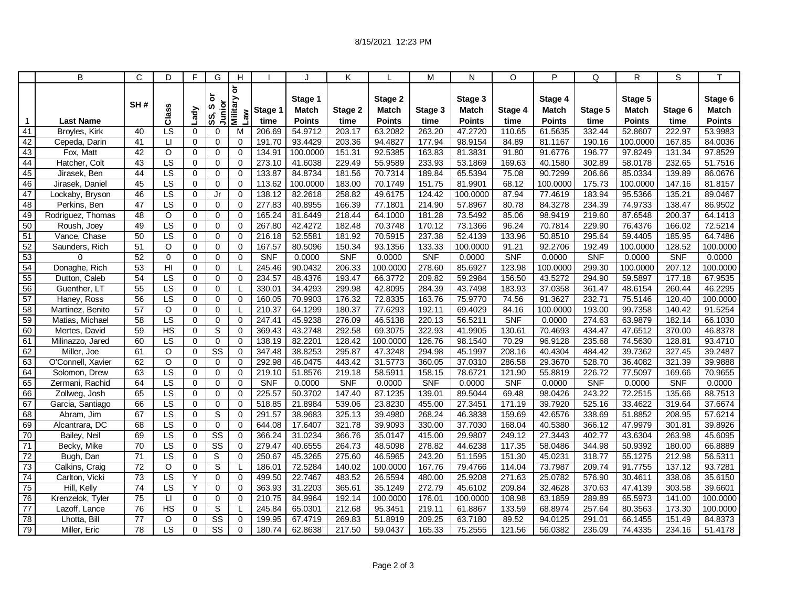|                 | B                 | C               | D                      | F              | G                      | H                                             |            |                         | Κ          |                  | M          | N                       | O          | P                       | Q          | R                       | S          | T                       |
|-----------------|-------------------|-----------------|------------------------|----------------|------------------------|-----------------------------------------------|------------|-------------------------|------------|------------------|------------|-------------------------|------------|-------------------------|------------|-------------------------|------------|-------------------------|
|                 |                   | SH#             | Class                  | Lady           | ৯<br>Junior<br>ဖာ      | $\overline{\sigma}$<br><b>Military</b><br>Law | Stage 1    | Stage 1<br><b>Match</b> | Stage 2    | Stage 2<br>Match | Stage 3    | Stage 3<br><b>Match</b> | Stage 4    | Stage 4<br><b>Match</b> | Stage 5    | Stage 5<br><b>Match</b> | Stage 6    | Stage 6<br><b>Match</b> |
| 1               | <b>Last Name</b>  |                 |                        |                | SS,                    |                                               | time       | <b>Points</b>           | time       | <b>Points</b>    | time       | <b>Points</b>           | time       | <b>Points</b>           | time       | <b>Points</b>           | time       | <b>Points</b>           |
| 41              | Broyles, Kirk     | 40              | $\overline{\text{LS}}$ | $\Omega$       | $\Omega$               | M                                             | 206.69     | 54.9712                 | 203.17     | 63.2082          | 263.20     | 47.2720                 | 110.65     | 61.5635                 | 332.44     | 52.8607                 | 222.97     | 53.9983                 |
| 42              | Cepeda, Darin     | 41              | $\Box$                 | 0              | 0                      | 0                                             | 191.70     | 93.4429                 | 203.36     | 94.4827          | 177.94     | 98.9154                 | 84.89      | 81.1167                 | 190.16     | 100.0000                | 167.85     | 84.0036                 |
| 43              | Fox, Matt         | 42              | $\circ$                | $\mathbf 0$    | 0                      | 0                                             | 134.91     | 100.0000                | 151.31     | 92.5385          | 163.83     | 81.3831                 | 91.80      | 91.6776                 | 196.77     | 97.8249                 | 131.34     | 97.8529                 |
| 44              | Hatcher, Colt     | 43              | $\overline{LS}$        | 0              | $\mathbf 0$            | $\mathbf 0$                                   | 273.10     | 41.6038                 | 229.49     | 55.9589          | 233.93     | 53.1869                 | 169.63     | 40.1580                 | 302.89     | 58.0178                 | 232.65     | 51.7516                 |
| 45              | Jirasek, Ben      | 44              | LS                     | 0              | $\mathbf 0$            | 0                                             | 133.87     | 84.8734                 | 181.56     | 70.7314          | 189.84     | 65.5394                 | 75.08      | 90.7299                 | 206.66     | 85.0334                 | 139.89     | 86.0676                 |
| 46              | Jirasek, Daniel   | 45              | $\overline{\text{LS}}$ | $\mathbf 0$    | 0                      | 0                                             | 113.62     | 100.0000                | 183.00     | 70.1749          | 151.75     | 81.9901                 | 68.12      | 100.0000                | 175.73     | 100.0000                | 147.16     | 81.8157                 |
| $\overline{47}$ | Lockaby, Bryson   | 46              | LS                     | $\Omega$       | Jr                     | $\Omega$                                      | 138.12     | 82.2618                 | 258.82     | 49.6175          | 124.42     | 100.0000                | 87.94      | 77.4619                 | 183.94     | 95.5366                 | 135.21     | 89.0467                 |
| 48              | Perkins, Ben      | 47              | LS                     | 0              | $\mathbf 0$            | 0                                             | 277.83     | 40.8955                 | 166.39     | 77.1801          | 214.90     | 57.8967                 | 80.78      | 84.3278                 | 234.39     | 74.9733                 | 138.47     | 86.9502                 |
| 49              | Rodriguez, Thomas | 48              | O                      | $\mathbf 0$    | $\mathbf 0$            | 0                                             | 165.24     | 81.6449                 | 218.44     | 64.1000          | 181.28     | 73.5492                 | 85.06      | 98.9419                 | 219.60     | 87.6548                 | 200.37     | 64.1413                 |
| 50              | Roush, Joey       | 49              | LS                     | $\mathbf 0$    | $\mathbf 0$            | 0                                             | 267.80     | 42.4272                 | 182.48     | 70.3748          | 170.12     | 73.1366                 | 96.24      | 70.7814                 | 229.90     | 76.4376                 | 166.02     | 72.5214                 |
| 51              | Vance, Chase      | 50              | LS                     | $\mathbf 0$    | $\mathbf 0$            | $\mathbf 0$                                   | 216.18     | 52.5581                 | 181.92     | 70.5915          | 237.38     | 52.4139                 | 133.96     | 50.8510                 | 295.64     | 59.4405                 | 185.95     | 64.7486                 |
| 52              | Saunders, Rich    | 51              | O                      | 0              | $\mathbf 0$            | 0                                             | 167.57     | 80.5096                 | 150.34     | 93.1356          | 133.33     | 100.0000                | 91.21      | 92.2706                 | 192.49     | 100.0000                | 128.52     | 100.0000                |
| 53              | 0                 | 52              | $\mathbf 0$            | $\mathbf 0$    | $\mathbf 0$            | 0                                             | <b>SNF</b> | 0.0000                  | <b>SNF</b> | 0.0000           | <b>SNF</b> | 0.0000                  | <b>SNF</b> | 0.0000                  | <b>SNF</b> | 0.0000                  | <b>SNF</b> | 0.0000                  |
| 54              | Donaghe, Rich     | 53              | H <sub>l</sub>         | $\mathbf 0$    | $\mathbf 0$            |                                               | 245.46     | 90.0432                 | 206.33     | 100.0000         | 278.60     | 85.6927                 | 123.98     | 100.0000                | 299.30     | 100.0000                | 207.12     | 100.0000                |
| 55              | Dutton, Caleb     | 54              | LS                     | 0              | 0                      | $\Omega$                                      | 234.57     | 48.4376                 | 193.47     | 66.3772          | 209.82     | 59.2984                 | 156.50     | 43.5272                 | 294.90     | 59.5897                 | 177.18     | 67.9535                 |
| 56              | Guenther, LT      | 55              | $\overline{LS}$        | $\mathbf 0$    | $\mathbf 0$            |                                               | 330.01     | 34.4293                 | 299.98     | 42.8095          | 284.39     | 43.7498                 | 183.93     | 37.0358                 | 361.47     | 48.6154                 | 260.44     | 46.2295                 |
| 57              | Haney, Ross       | $\overline{56}$ | $\overline{LS}$        | 0              | $\mathbf 0$            | 0                                             | 160.05     | 70.9903                 | 176.32     | 72.8335          | 163.76     | 75.9770                 | 74.56      | 91.3627                 | 232.71     | 75.5146                 | 120.40     | 100.0000                |
| 58              | Martinez, Benito  | 57              | $\circ$                | 0              | $\mathbf 0$            |                                               | 210.37     | 64.1299                 | 180.37     | 77.6293          | 192.11     | 69.4029                 | 84.16      | 100.0000                | 193.00     | 99.7358                 | 140.42     | 91.5254                 |
| 59              | Matias, Michael   | 58              | $\overline{\text{LS}}$ | $\mathbf 0$    | $\mathbf 0$            | 0                                             | 247.41     | 45.9238                 | 276.09     | 46.5138          | 220.13     | 56.5211                 | <b>SNF</b> | 0.0000                  | 274.63     | 63.9879                 | 182.14     | 66.1030                 |
| 60              | Mertes, David     | 59              | HS                     | 0              | S                      | 0                                             | 369.43     | 43.2748                 | 292.58     | 69.3075          | 322.93     | 41.9905                 | 130.61     | 70.4693                 | 434.47     | 47.6512                 | 370.00     | 46.8378                 |
| 61              | Milinazzo, Jared  | 60              | LS                     | 0              | $\mathbf 0$            | 0                                             | 138.19     | 82.2201                 | 128.42     | 100.0000         | 126.76     | 98.1540                 | 70.29      | 96.9128                 | 235.68     | 74.5630                 | 128.81     | 93.4710                 |
| 62              | Miller, Joe       | 61              | $\circ$                | $\pmb{0}$      | $\overline{\text{SS}}$ | 0                                             | 347.48     | 38.8253                 | 295.87     | 47.3248          | 294.98     | 45.1997                 | 208.16     | 40.4304                 | 484.42     | 39.7362                 | 327.45     | 39.2487                 |
| 63              | O'Connell, Xavier | 62              | $\circ$                | $\overline{0}$ | $\Omega$               | $\overline{0}$                                | 292.98     | 46.0475                 | 443.42     | 31.5773          | 360.05     | 37.0310                 | 286.58     | 29.3670                 | 528.70     | 36.4082                 | 321.39     | 39.9888                 |
| 64              | Solomon, Drew     | 63              | LS                     | 0              | 0                      | 0                                             | 219.10     | 51.8576                 | 219.18     | 58.5911          | 158.15     | 78.6721                 | 121.90     | 55.8819                 | 226.72     | 77.5097                 | 169.66     | 70.9655                 |
| 65              | Zermani, Rachid   | 64              | LS                     | $\mathbf 0$    | 0                      | 0                                             | <b>SNF</b> | 0.0000                  | <b>SNF</b> | 0.0000           | <b>SNF</b> | 0.0000                  | <b>SNF</b> | 0.0000                  | <b>SNF</b> | 0.0000                  | <b>SNF</b> | 0.0000                  |
| 66              | Zollweg, Josh     | 65              | LS                     | 0              | $\Omega$               | 0                                             | 225.57     | 50.3702                 | 147.40     | 87.1235          | 139.01     | 89.5044                 | 69.48      | 98.0426                 | 243.22     | 72.2515                 | 135.66     | 88.7513                 |
| 67              | Garcia, Santiago  | 66              | $\overline{\text{LS}}$ | 0              | $\mathbf 0$            | $\Omega$                                      | 518.85     | 21.8984                 | 539.06     | 23.8230          | 455.00     | 27.3451                 | 171.19     | 39.7920                 | 525.16     | 33.4622                 | 319.64     | 37.6674                 |
| 68              | Abram, Jim        | 67              | $\overline{LS}$        | $\mathbf 0$    | S                      | 0                                             | 291.57     | 38.9683                 | 325.13     | 39.4980          | 268.24     | 46.3838                 | 159.69     | 42.6576                 | 338.69     | 51.8852                 | 208.95     | 57.6214                 |
| 69              | Alcantrara, DC    | 68              | $\overline{LS}$        | $\mathbf 0$    | $\mathbf 0$            | 0                                             | 644.08     | 17.6407                 | 321.78     | 39.9093          | 330.00     | 37.7030                 | 168.04     | 40.5380                 | 366.12     | 47.9979                 | 301.81     | 39.8926                 |
| 70              | Bailey, Neil      | 69              | LS                     | $\mathbf 0$    | $\overline{\text{ss}}$ | $\mathbf 0$                                   | 366.24     | 31.0234                 | 366.76     | 35.0147          | 415.00     | 29.9807                 | 249.12     | 27.3443                 | 402.77     | 43.6304                 | 263.98     | 45.6095                 |
| 71              | Becky, Mike       | $\overline{70}$ | $\overline{\text{LS}}$ | $\mathbf 0$    | $\overline{\text{SS}}$ | 0                                             | 279.47     | 40.6555                 | 264.73     | 48.5098          | 278.82     | 44.6238                 | 117.35     | 58.0486                 | 344.98     | 50.9392                 | 180.00     | 66.8889                 |
| 72              | Bugh, Dan         | 71              | $\overline{\text{LS}}$ | $\mathbf 0$    | S                      | 0                                             | 250.67     | 45.3265                 | 275.60     | 46.5965          | 243.20     | 51.1595                 | 151.30     | 45.0231                 | 318.77     | 55.1275                 | 212.98     | 56.5311                 |
| 73              | Calkins, Craig    | $\overline{72}$ | $\circ$                | $\mathbf 0$    | S                      |                                               | 186.01     | 72.5284                 | 140.02     | 100.0000         | 167.76     | 79.4766                 | 114.04     | 73.7987                 | 209.74     | 91.7755                 | 137.12     | 93.7281                 |
| 74              | Carlton, Vicki    | $\overline{73}$ | $\overline{LS}$        | Υ              | $\mathbf 0$            | 0                                             | 499.50     | 22.7467                 | 483.52     | 26.5594          | 480.00     | 25.9208                 | 271.63     | 25.0782                 | 576.90     | 30.4611                 | 338.06     | 35.6150                 |
| 75              | Hill, Kelly       | $\overline{74}$ | LS                     | Y              | $\mathbf 0$            | $\Omega$                                      | 363.93     | 31.2203                 | 365.61     | 35.1249          | 272.79     | 45.6102                 | 209.84     | 32.4628                 | 370.63     | 47.4139                 | 303.58     | 39.6601                 |
| 76              | Krenzelok, Tyler  | 75              | $\mathsf{L}$           | $\Omega$       | $\mathbf 0$            | 0                                             | 210.75     | 84.9964                 | 192.14     | 100.0000         | 176.01     | 100.0000                | 108.98     | 63.1859                 | 289.89     | 65.5973                 | 141.00     | 100.0000                |
| 77              | Lazoff, Lance     | 76              | $\overline{HS}$        | 0              | S                      |                                               | 245.84     | 65.0301                 | 212.68     | 95.3451          | 219.11     | 61.8867                 | 133.59     | 68.8974                 | 257.64     | 80.3563                 | 173.30     | 100.0000                |
| 78              | Lhotta, Bill      | $\overline{77}$ | O                      | $\mathbf 0$    | $\overline{\text{ss}}$ | 0                                             | 199.95     | 67.4719                 | 269.83     | 51.8919          | 209.25     | 63.7180                 | 89.52      | 94.0125                 | 291.01     | 66.1455                 | 151.49     | 84.8373                 |
| 79              | Miller, Eric      | 78              | LS                     | $\Omega$       | $\overline{\text{ss}}$ | 0                                             | 180.74     | 62.8638                 | 217.50     | 59.0437          | 165.33     | 75.2555                 | 121.56     | 56.0382                 | 236.09     | 74.4335                 | 234.16     | 51.4178                 |